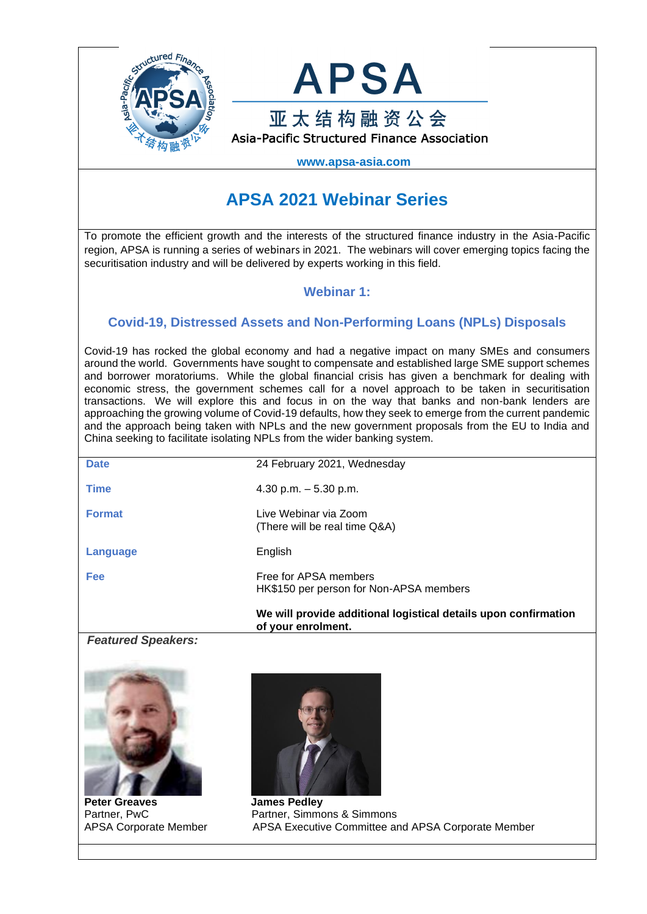



 **www.apsa-asia.com**

# **APSA 2021 Webinar Series**

To promote the efficient growth and the interests of the structured finance industry in the Asia-Pacific region, APSA is running a series of webinars in 2021. The webinars will cover emerging topics facing the securitisation industry and will be delivered by experts working in this field.

### **Webinar 1:**

# **Covid-19, Distressed Assets and Non-Performing Loans (NPLs) Disposals**

Covid-19 has rocked the global economy and had a negative impact on many SMEs and consumers around the world. Governments have sought to compensate and established large SME support schemes and borrower moratoriums. While the global financial crisis has given a benchmark for dealing with economic stress, the government schemes call for a novel approach to be taken in securitisation transactions. We will explore this and focus in on the way that banks and non-bank lenders are approaching the growing volume of Covid-19 defaults, how they seek to emerge from the current pandemic and the approach being taken with NPLs and the new government proposals from the EU to India and China seeking to facilitate isolating NPLs from the wider banking system.

|               | We will provide additional logistical details upon confirmation<br>of your enrolment. |
|---------------|---------------------------------------------------------------------------------------|
| <b>Fee</b>    | Free for APSA members<br>HK\$150 per person for Non-APSA members                      |
| Language      | English                                                                               |
| <b>Format</b> | Live Webinar via Zoom<br>(There will be real time Q&A)                                |
| <b>Time</b>   | 4.30 p.m. $-5.30$ p.m.                                                                |
| <b>Date</b>   | 24 February 2021, Wednesday                                                           |
|               |                                                                                       |

#### *Featured Speakers:*



**Peter Greaves** James Pedley



Partner, PwC Partner, Simmons & Simmons APSA Corporate MemberAPSA Executive Committee and APSA Corporate Member